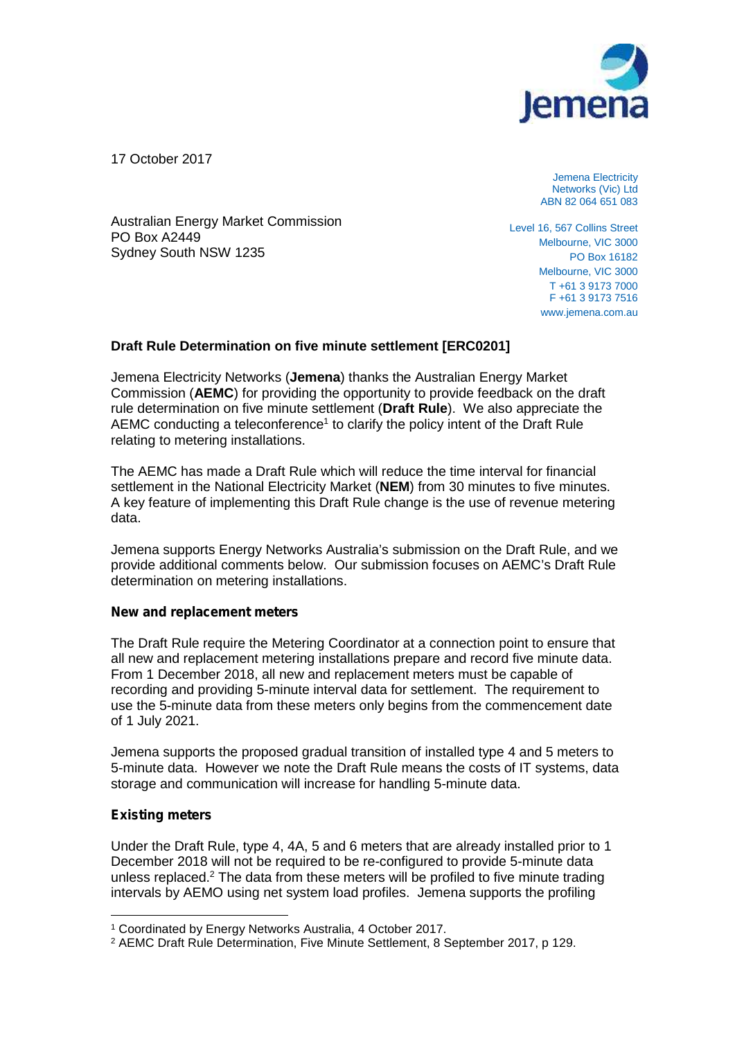

17 October 2017

Jemena Electricity Networks (Vic) Ltd ABN 82 064 651 083

Australian Energy Market Commission PO Box A2449 Sydney South NSW 1235

Level 16, 567 Collins Street Melbourne, VIC 3000 PO Box 16182 Melbourne, VIC 3000 T +61 3 9173 7000 F +61 3 9173 7516 www.jemena.com.au

# **Draft Rule Determination on five minute settlement [ERC0201]**

Jemena Electricity Networks (**Jemena**) thanks the Australian Energy Market Commission (**AEMC**) for providing the opportunity to provide feedback on the draft rule determination on five minute settlement (**Draft Rule**). We also appreciate the AEMC conducting a teleconference<sup>1</sup> to clarify the policy intent of the Draft Rule relating to metering installations.

The AEMC has made a Draft Rule which will reduce the time interval for financial settlement in the National Electricity Market (NEM) from 30 minutes to five minutes. A key feature of implementing this Draft Rule change is the use of revenue metering data.

Jemena supports Energy Networks Australia's submission on the Draft Rule, and we provide additional comments below. Our submission focuses on AEMC's Draft Rule determination on metering installations.

## *New and replacement meters*

The Draft Rule require the Metering Coordinator at a connection point to ensure that all new and replacement metering installations prepare and record five minute data. From 1 December 2018, all new and replacement meters must be capable of recording and providing 5-minute interval data for settlement. The requirement to use the 5-minute data from these meters only begins from the commencement date of 1 July 2021.

Jemena supports the proposed gradual transition of installed type 4 and 5 meters to 5-minute data. However we note the Draft Rule means the costs of IT systems, data storage and communication will increase for handling 5-minute data.

# *Existing meters*

Under the Draft Rule, type 4, 4A, 5 and 6 meters that are already installed prior to 1 December 2018 will not be required to be re-configured to provide 5-minute data unless replaced.<sup>2</sup> The data from these meters will be profiled to five minute trading intervals by AEMO using net system load profiles. Jemena supports the profiling

<sup>1</sup> Coordinated by Energy Networks Australia, 4 October 2017.

<sup>2</sup> AEMC Draft Rule Determination, Five Minute Settlement, 8 September 2017, p 129.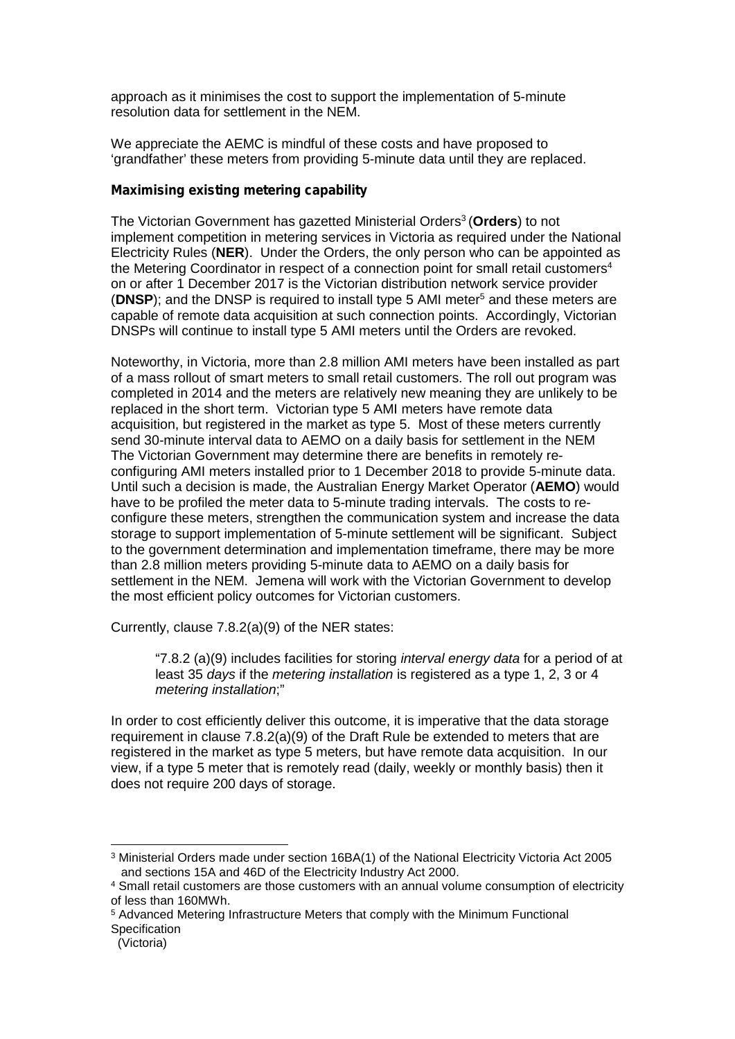approach as it minimises the cost to support the implementation of 5-minute resolution data for settlement in the NEM.

We appreciate the AEMC is mindful of these costs and have proposed to 'grandfather' these meters from providing 5-minute data until they are replaced.

### *Maximising existing metering capability*

The Victorian Government has gazetted Ministerial Orders<sup>3</sup> (**Orders**) to not implement competition in metering services in Victoria as required under the National Electricity Rules (**NER**). Under the Orders, the only person who can be appointed as the Metering Coordinator in respect of a connection point for small retail customers<sup>4</sup> on or after 1 December 2017 is the Victorian distribution network service provider (**DNSP**); and the DNSP is required to install type 5 AMI meter<sup>5</sup> and these meters are capable of remote data acquisition at such connection points. Accordingly, Victorian DNSPs will continue to install type 5 AMI meters until the Orders are revoked.

Noteworthy, in Victoria, more than 2.8 million AMI meters have been installed as part of a mass rollout of smart meters to small retail customers. The roll out program was completed in 2014 and the meters are relatively new meaning they are unlikely to be replaced in the short term. Victorian type 5 AMI meters have remote data acquisition, but registered in the market as type 5. Most of these meters currently send 30-minute interval data to AEMO on a daily basis for settlement in the NEM The Victorian Government may determine there are benefits in remotely re configuring AMI meters installed prior to 1 December 2018 to provide 5-minute data. Until such a decision is made, the Australian Energy Market Operator (**AEMO**) would have to be profiled the meter data to 5-minute trading intervals. The costs to re configure these meters, strengthen the communication system and increase the data storage to support implementation of 5-minute settlement will be significant. Subject to the government determination and implementation timeframe, there may be more than 2.8 million meters providing 5-minute data to AEMO on a daily basis for settlement in the NEM. Jemena will work with the Victorian Government to develop the most efficient policy outcomes for Victorian customers.

Currently, clause 7.8.2(a)(9) of the NER states:

"7.8.2 (a)(9) includes facilities for storing *interval energy data* for a period of at least 35 *days* if the *metering installation* is registered as a type 1, 2, 3 or 4 *metering installation*;"

In order to cost efficiently deliver this outcome, it is imperative that the data storage requirement in clause 7.8.2(a)(9) of the Draft Rule be extended to meters that are registered in the market as type 5 meters, but have remote data acquisition. In our view, if a type 5 meter that is remotely read (daily, weekly or monthly basis) then it does not require 200 days of storage.

<sup>3</sup> Ministerial Orders made under section 16BA(1) of the National Electricity Victoria Act 2005 and sections 15A and 46D of the Electricity Industry Act 2000.

<sup>4</sup> Small retail customers are those customers with an annual volume consumption of electricity of less than 160MWh.

<sup>5</sup> Advanced Metering Infrastructure Meters that comply with the Minimum Functional **Specification** 

<sup>(</sup>Victoria)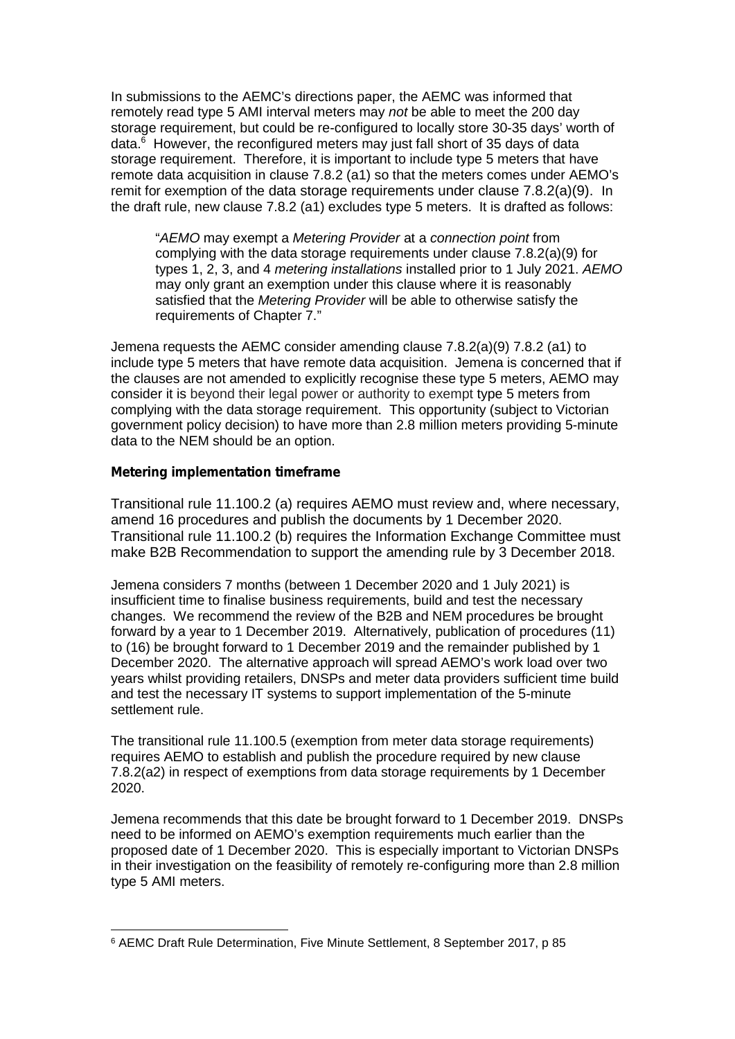In submissions to the AEMC's directions paper, the AEMC was informed that remotely read type 5 AMI interval meters may *not* be able to meet the 200 day storage requirement, but could be re-configured to locally store 30-35 days' worth of data. $6$  However, the reconfigured meters may just fall short of 35 days of data storage requirement. Therefore, it is important to include type 5 meters that have remote data acquisition in clause 7.8.2 (a1) so that the meters comes under AEMO's remit for exemption of the data storage requirements under clause 7.8.2(a)(9). In the draft rule, new clause 7.8.2 (a1) excludes type 5 meters. It is drafted as follows:

"*AEMO* may exempt a *Metering Provider* at a *connection point* from complying with the data storage requirements under clause 7.8.2(a)(9) for types 1, 2, 3, and 4 *metering installations* installed prior to 1 July 2021. *AEMO* may only grant an exemption under this clause where it is reasonably satisfied that the *Metering Provider* will be able to otherwise satisfy the requirements of Chapter 7."

Jemena requests the AEMC consider amending clause 7.8.2(a)(9) 7.8.2 (a1) to include type 5 meters that have remote data acquisition. Jemena is concerned that if the clauses are not amended to explicitly recognise these type 5 meters, AEMO may consider it is beyond their legal power or authority to exempt type 5 meters from complying with the data storage requirement. This opportunity (subject to Victorian government policy decision) to have more than 2.8 million meters providing 5-minute data to the NEM should be an option.

### *Metering implementation timeframe*

Transitional rule 11.100.2 (a) requires AEMO must review and, where necessary, amend 16 procedures and publish the documents by 1 December 2020. Transitional rule 11.100.2 (b) requires the Information Exchange Committee must make B2B Recommendation to support the amending rule by 3 December 2018.

Jemena considers 7 months (between 1 December 2020 and 1 July 2021) is insufficient time to finalise business requirements, build and test the necessary changes. We recommend the review of the B2B and NEM procedures be brought forward by a year to 1 December 2019. Alternatively, publication of procedures (11) to (16) be brought forward to 1 December 2019 and the remainder published by 1 December 2020. The alternative approach will spread AEMO's work load over two years whilst providing retailers, DNSPs and meter data providers sufficient time build and test the necessary IT systems to support implementation of the 5-minute settlement rule.

The transitional rule 11.100.5 (exemption from meter data storage requirements) requires AEMO to establish and publish the procedure required by new clause 7.8.2(a2) in respect of exemptions from data storage requirements by 1 December 2020.

Jemena recommends that this date be brought forward to 1 December 2019. DNSPs need to be informed on AEMO's exemption requirements much earlier than the proposed date of 1 December 2020. This is especially important to Victorian DNSPs in their investigation on the feasibility of remotely re-configuring more than 2.8 million type 5 AMI meters.

<sup>6</sup> AEMC Draft Rule Determination, Five Minute Settlement, 8 September 2017, p 85